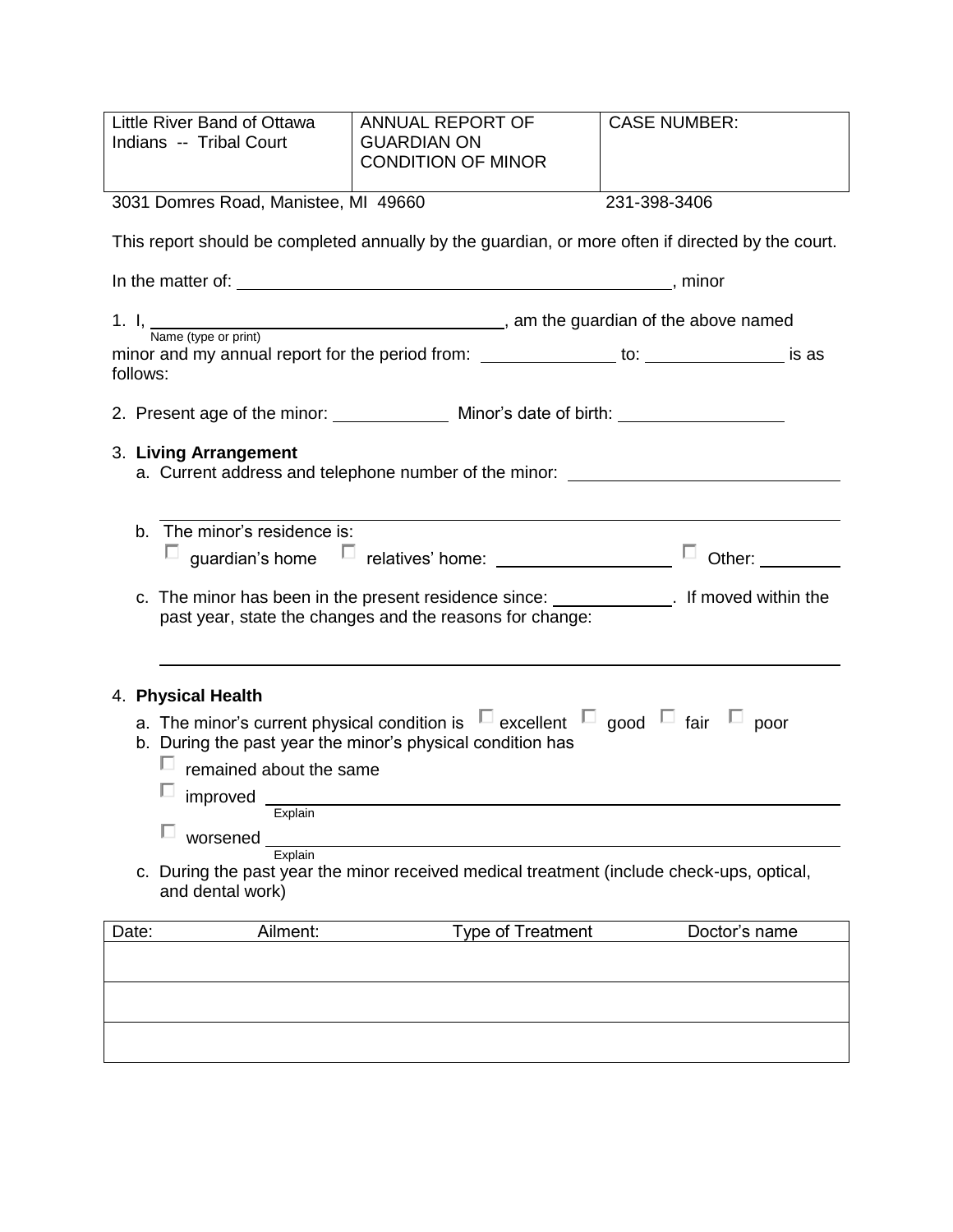| Little River Band of Ottawa<br>Indians -- Tribal Court                                                                                                          | <b>ANNUAL REPORT OF</b><br><b>GUARDIAN ON</b><br><b>CONDITION OF MINOR</b> | <b>CASE NUMBER:</b>             |  |
|-----------------------------------------------------------------------------------------------------------------------------------------------------------------|----------------------------------------------------------------------------|---------------------------------|--|
| 3031 Domres Road, Manistee, MI 49660                                                                                                                            |                                                                            | 231-398-3406                    |  |
| This report should be completed annually by the guardian, or more often if directed by the court.                                                               |                                                                            |                                 |  |
|                                                                                                                                                                 |                                                                            |                                 |  |
| 1. I, $\frac{1}{\text{Name (type or print)}}$ , am the guardian of the above named                                                                              |                                                                            |                                 |  |
| follows:                                                                                                                                                        |                                                                            |                                 |  |
|                                                                                                                                                                 |                                                                            |                                 |  |
| 3. Living Arrangement<br>a. Current address and telephone number of the minor:                                                                                  |                                                                            |                                 |  |
| The minor's residence is:<br>b.                                                                                                                                 |                                                                            | ш<br>Other: Website Controllers |  |
| c. The minor has been in the present residence since: ______________. If moved within the<br>past year, state the changes and the reasons for change:           |                                                                            |                                 |  |
| 4. Physical Health                                                                                                                                              |                                                                            |                                 |  |
| a. The minor's current physical condition is $\Box$ excellent $\Box$ good $\Box$ fair $\Box$ poor<br>b. During the past year the minor's physical condition has |                                                                            |                                 |  |
| remained about the same                                                                                                                                         |                                                                            |                                 |  |
| improved<br>Explain                                                                                                                                             |                                                                            |                                 |  |
| worsened<br>Explain                                                                                                                                             |                                                                            |                                 |  |
| c. During the past year the minor received medical treatment (include check-ups, optical,<br>and dental work)                                                   |                                                                            |                                 |  |
| Ailment:<br>Date:                                                                                                                                               | <b>Type of Treatment</b>                                                   | Doctor's name                   |  |
|                                                                                                                                                                 |                                                                            |                                 |  |
|                                                                                                                                                                 |                                                                            |                                 |  |
|                                                                                                                                                                 |                                                                            |                                 |  |